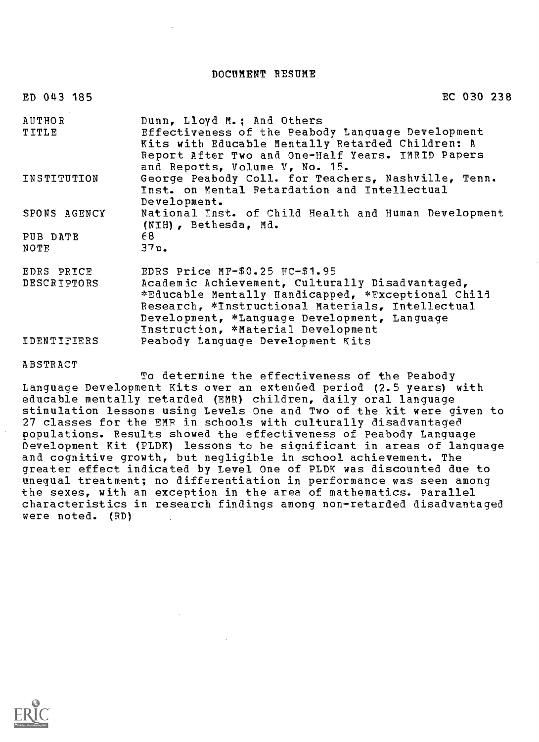DOCUMENT RESUME

| ED 043 185                | EC 030 238                                                                                                                                                                                                                                                                        |
|---------------------------|-----------------------------------------------------------------------------------------------------------------------------------------------------------------------------------------------------------------------------------------------------------------------------------|
| <b>AUTHOR</b><br>TITLE    | Dunn, Lloyd M.; And Others<br>Effectiveness of the Peabody Language Development<br>Kits with Educable Mentally Retarded Children: A<br>Report After Two and One-Half Years. IMRID Papers                                                                                          |
| INSTITUTION               | and Reports, Volume V, No. 15.<br>George Peabody Coll. for Teachers, Nashville, Tenn.<br>Inst. on Mental Retardation and Intellectual<br>Development.                                                                                                                             |
| SPONS AGENCY              | National Inst. of Child Health and Human Development<br>(NIH), Bethesda, Md.                                                                                                                                                                                                      |
| PUB DATE<br>NOTE          | 68.<br>37p.                                                                                                                                                                                                                                                                       |
| EDRS PRICE<br>DESCRIPTORS | EDRS Price MF-\$0.25 HC-\$1.95<br>Academic Achievement, Culturally Disadvantaged,<br>*Educable Mentally Handicapped, *Exceptional Child<br>Research, *Instructional Materials, Intellectual<br>Development, *Language Development, Language<br>Instruction, *Material Development |
| IDENTIFIERS               | Peabody Language Development Kits                                                                                                                                                                                                                                                 |

ABSTRACT

To determine the effectiveness of the Peabody Language Development Kits over an extended period (2.5 years) with educable mentally retarded (EMR) children, daily oral language stimulation lessons using Levels One and Two of the kit were given to 27 classes for the EMR in schools with culturally disadvantaged populations. Results showed the effectiveness of Peabody Language Development Kit (PIDK) lessons to be significant in areas of language and cognitive growth, but negligible in school achievement. The greater effect indicated by Level One of PLDK was discounted due to unequal treatment; no differentiation in performance was seen among the sexes, with an exception in the area of mathematics. Parallel characteristics in research findings among non-retarded disadvantaged were noted. (RD)

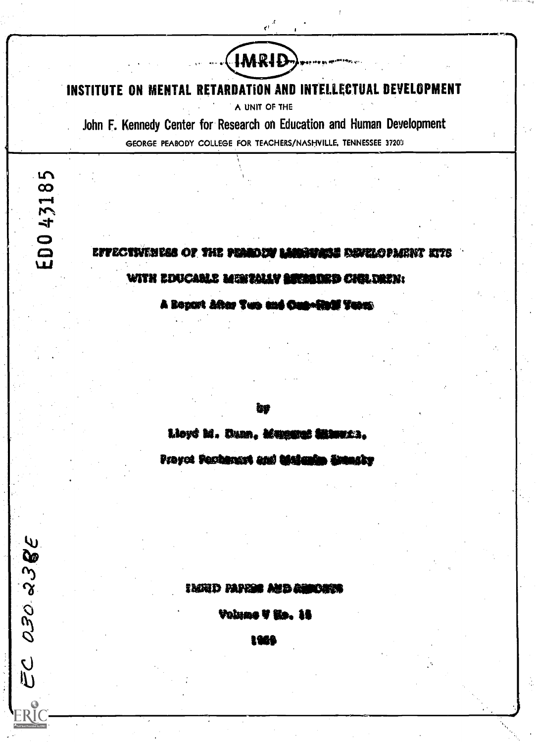INSTITUTE ON MENTAL RETARDATION AND INTELLECTUAL DEVELOPMENT

HMRID-

A UNIT OF THE

John F. Kennedy Center for Research on Education and Human Development GEORGE PEABODY COLLEGE FOR TEACHERS/NASHVILLE, TENNESSEE 37203

EC 030 23BE

EFFECTWEMESS OF THE PEARDEM LANGIFACE DEVELOPMENT KTS

WITH EDUCABLE MEMBALLY SECRETED CHOLDREN:

A Bogart After Two and Can-find Term

Lloyd M. Duan, Mangarat Shamaca,

Provet Pechanart and the and

**IMMD PAPER AND RESORTA** 

Volume V Ho. 15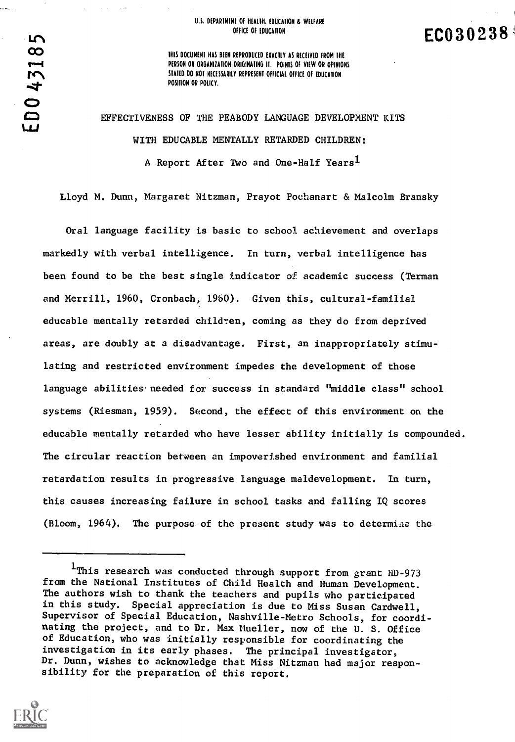#### U.S. DEPARTMENT OF HEALTH, EDUCATION & WELFARE OFFICE OF EDUCATION

EC030238

THIS DOCUMENT HAS BEEN REPRODUCED EXACTLY AS RECEIVED FROM THE PERSON OR ORGANIZATION ORIGINATING IT. POINTS OF VIEW OR OPINIONS STATED DO NOT NECESSARILY REPRESENT OFFICIAL OFFICE OF EDUCATION POSITION OR POLICY.

EFFECTIVENESS OF THE PEABODY LANGUAGE DEVELOPMENT KITS WITH EDUCABLE MENTALLY RETARDED CHILDREN: A Report After Two and One-Half Years<sup>1</sup>

Lloyd M. Dunn, Margaret Nitzman, Prayot Pochanart & Malcolm Bransky

Oral language facility is basic to school achievement and overlaps markedly with verbal intelligence. In turn, verbal intelligence has been found to be the best single indicator of academic success (Terman and Merrill, 1960, Cronbach, 1960). Given this, cultural-familial educable mentally retarded children, coming as they do from deprived areas, are doubly at a disadvantage. First, an inappropriately stimulating and restricted environment impedes the development of those language abilities needed for success in standard "middle class" school systems (Riesman, 1959). Second, the effect of this environment on the educable mentally retarded who have lesser ability initially is compounded. The circular reaction between an impoverished environment and familial retardation results in progressive language maldevelopment. In turn, this causes increasing failure in school tasks and falling IQ scores (Bloom, 1964). The purpose of the present study was to determiae the

<sup>1</sup>This research was conducted through support from grant HD-973 from the National Institutes of Child Health and Human Development. The authors wish to thank the teachers and pupils who participated in this study. Special appreciation is due to Miss Susan Cardwell, Supervisor of Special Education, Nashville-Metro Schools, for coordinating the project, and to Dr. Max Mueller, now of the U. S. Office of Education, who was initially responsible for coordinating the investigation in its early phases. The principal investigator, Dr. Dunn, wishes to acknowledge that Miss Nitzman had major responsibility for the preparation of this report.



 $\mathbf{L}$ 

 $\bullet$  and  $\bullet$  and  $\bullet$ 

LAJ

afta se se de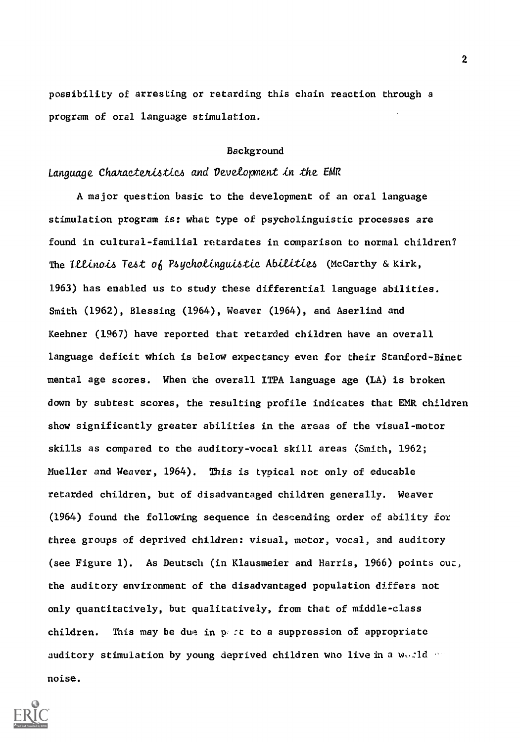possibility of arresting or retarding this chain reaction through a program of oral language stimulation.

#### Background

### Language Characteristics and Development in the EMR

A major question basic to the development of an oral language stimulation program is: what type of psycholinguistic processes are found in cultural-familial retardates in comparison to normal children? The Illinois Test of Psycholinguistic Abilities (McCarthy & Kirk, 1963) has enabled us to study these differential language abilities. Smith (1962), Blessing (1964), Weaver (1964), and Aserlind and Keehner (1967) have reported that retarded children have an overall language deficit which is below expectancy even for their Stanford-Binet mental age scores. When the overall ITPA language age (LA) is broken down by subtest scores, the resulting profile indicates that EMR children show significantly greater abilities in the areas of the visual-motor skills as compared to the auditory-vocal skill areas (Smith, 1962; Mueller and Weaver, 1964). This is typical not only of educable retarded children, but of disadvantaged children generally. Weaver (1964) found the following sequence in descending order of ability for three groups of deprived children: visual, motor, vocal, and auditory (see Figure 1). As Deutsch (in Klausmeier and Harris, 1966) points our, the auditory environment of the disadvantaged population differs not only quantitatively, but qualitatively, from that of middle-class children. This may be due in p.  $\epsilon$  to a suppression of appropriate auditory stimulation by young deprived children who live in a world noise.

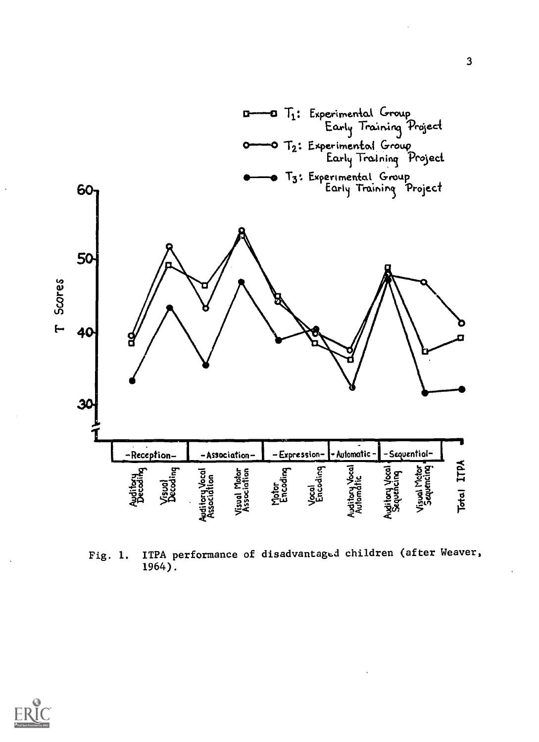

ITPA performance of disadvantaged children (after Weaver, Fig. 1. 1964).

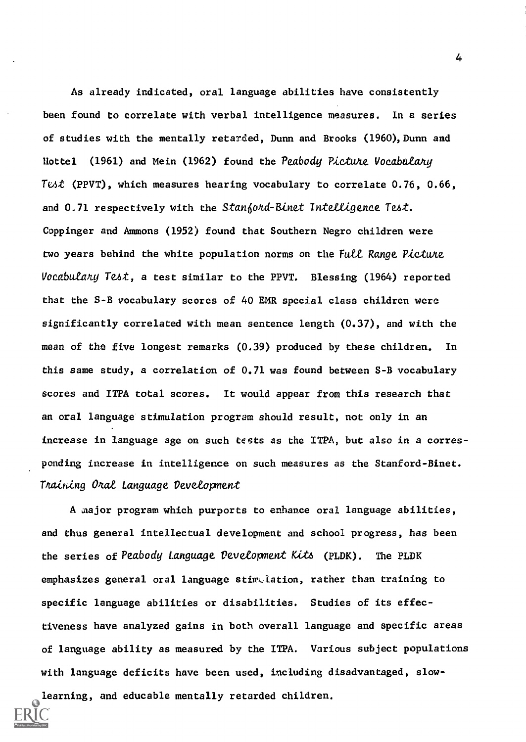As already indicated, oral language abilities have consistently been found to correlate with verbal intelligence measures. In a series of studies with the mentally retarded, Dunn and Brooks (1960), Dunn and Hottel (1961) and Mein (1962) found the Peabody Picture Vocabulary Test (PPVT), which measures hearing vocabulary to correlate  $0.76$ ,  $0.66$ , and 0.71 respectively with the Stanford-Binet Intelligence Test. Coppinger and Ammons (1952) found that Southern Negro children were two years behind the white population norms on the Full Range Picture Vocabulany Test, a test similar to the PPVT. Blessing (1964) reported that the S-B vocabulary scores of 40 EMR special class children were significantly correlated with mean sentence length (0.37), and with the mean of the five longest remarks (0.39) produced by these children. In this same study, a correlation of 0.71 was found between S-B vocabulary scores and ITPA total scores. It would appear from this research that an oral language stimulation program should result, not only in an increase in language age on such tests as the ITPA, but also in a corresponding increase in intelligence on such measures as the Stanford-Binet. Training Oral Language Development

A major program which purports to enhance oral language abilities, and thus general intellectual development and school progress, has been the series of Peabody Language Development Kits (PLDK). The PLDK emphasizes general oral language stiv,lation, rather than training to specific language abilities or disabilities. Studies of its effectiveness have analyzed gains in both overall language and specific areas of language ability as measured by the ITPA. Various subject populations with language deficits have been used, including disadvantaged, slowlearning, and educable mentally retarded children.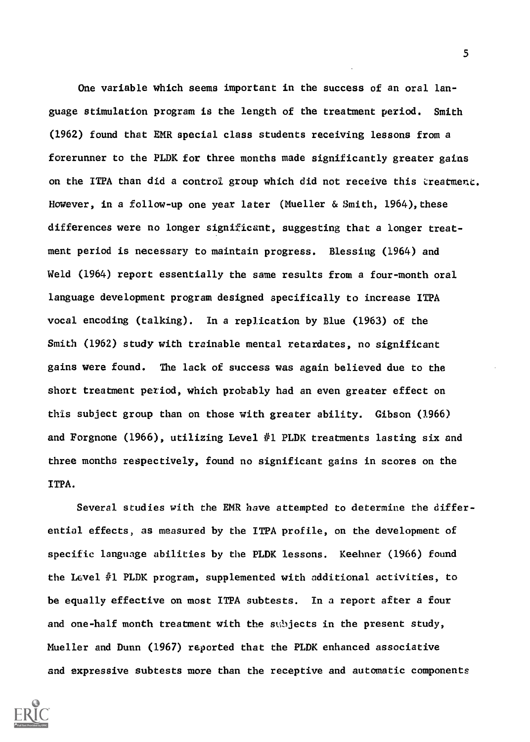One variable which seems important in the success of an oral language stimulation program is the length of the treatment period. Smith (1962) found that EMR special class students receiving lessons from a forerunner to the PLDK for three months made significantly greater gains on the ITPA than did a control group which did not receive this treatment. However, in a follow-up one year later (Mueller & Smith, 1964), these differences were no longer significant, suggesting that a longer treatment period is necessary to maintain progress. Blessing (1964) and Weld (1964) report essentially the same results from a four-month oral language development program designed specifically to increase ITPA vocal encoding (talking). In a replication by Blue (1963) of the Smith (1962) study with trainable mental retardates, no significant gains were found. The lack of success was again believed due to the short treatment period, which probably had an even greater effect on this subject group than on those with greater ability. Gibson (1966) and Forgnone (1966), utilizing Level #1 PLDK treatments lasting six and three months respectively, found no significant gains in scores on the ITPA.

Several studies with the EMR have attempted to determine the differential effects, as measured by the ITPA profile, on the development of specific language abilities by the PLDK lessons. Keehner (1966) found the Level #1 PLDK program, supplemented with additional activities, to be equally effective on most ITPA subtests. In a report after a four and one-half month treatment with the subjects in the present study, Mueller and Dunn (1967) reported that the PLDK enhanced associative and expressive subtests more than the receptive and automatic components

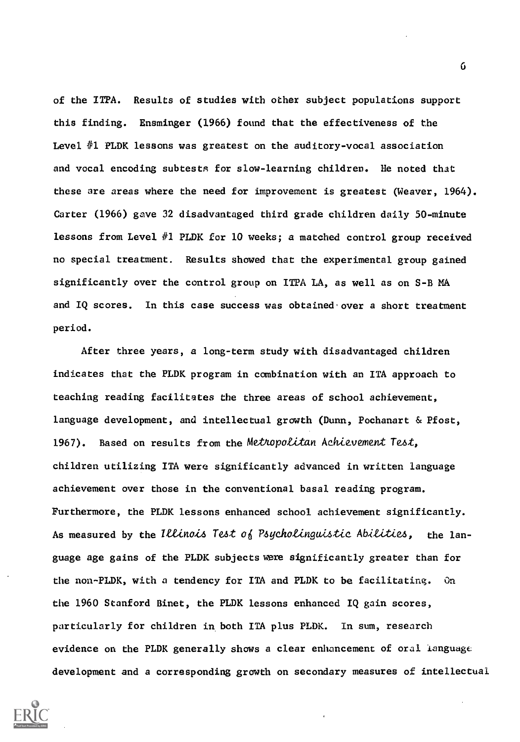of the ITPA. Results of studies with other subject populations support this finding. Ensminger (1966) found that the effectiveness of the Level #1 PLDK lessons was greatest on the auditory-vocal association and vocal encoding subtests for slow-learning children. He noted that these are areas where the need for improvement is greatest (Weaver, 1964). Carter (1966) gave 32 disadvantaged third grade children daily 50-minute lessons from Level #1 PLDK for 10 weeks; a matched control group received no special treatment. Results showed that the experimental group gained significantly over the control group on ITPA LA, as well as on S-B MA and IQ scores. In this case success was obtained over a short treatment period.

After three years, a long-term study with disadvantaged children indicates that the PLDK program in combination with an ITA approach to teaching reading facilitates the three areas of school achievement, language development, and intellectual growth (Dunn, Pochanart & Pfost, 1967). Based on results from the Methopolitan Achievement Test, children utilizing ITA were significantly advanced in written language achievement over those in the conventional basal reading program. Furthermore, the PLDK lessons enhanced school achievement significantly. As measured by the Illinois Test of Psycholinguistic Abilities, the language age gains of the PLDK subjects were significantly greater than for the non-PLDK, with a tendency for ITA and PLDK to be facilitating. On the 1960 Stanford Binet, the PLDK lessons enhanced IQ gain scores, particularly for children in both ITA plus PLDK. In sum, research evidence on the PLDK generally shows a clear enhancement of oral language development and a corresponding growth on secondary measures of intellectual



 $\mathbf 6$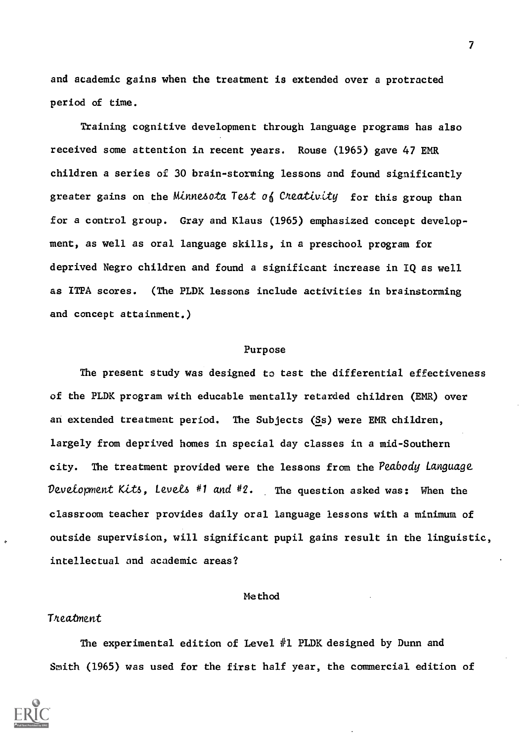and academic gains when the treatment is extended over a protracted period of time.

Training cognitive development through language programs has also received some attention in recent years. Rouse (1965) gave 47 EMR children a series of 30 brain-storming lessons and found significantly greater gains on the Minnesota Test of Cheativity for this group than for a control group. Gray and Klaus (1965) emphasized concept development, as well as oral language skills, in a preschool program for deprived Negro children and found a significant increase in IQ as well as ITPA scores. (The PLDK lessons include activities in brainstorming and concept attainment.)

#### Purpose

The present study was designed to test the differential effectiveness of the PLDK program with educable mentally retarded children (EMR) over an extended treatment period. The Subjects (Ss) were EMR children, largely from deprived homes in special day classes in a mid-Southern city. The treatment provided were the lessons from the Peabody Language Development Kits, Levels #1 and #2. The question asked was: When the classroom teacher provides daily oral language lessons with a minimum of outside supervision, will significant pupil gains result in the linguistic, intellectual and academic areas?

### Method

### Treatment

The experimental edition of Level  $#1$  PLDK designed by Dunn and Smith (1965) was used for the first half year, the commercial edition of

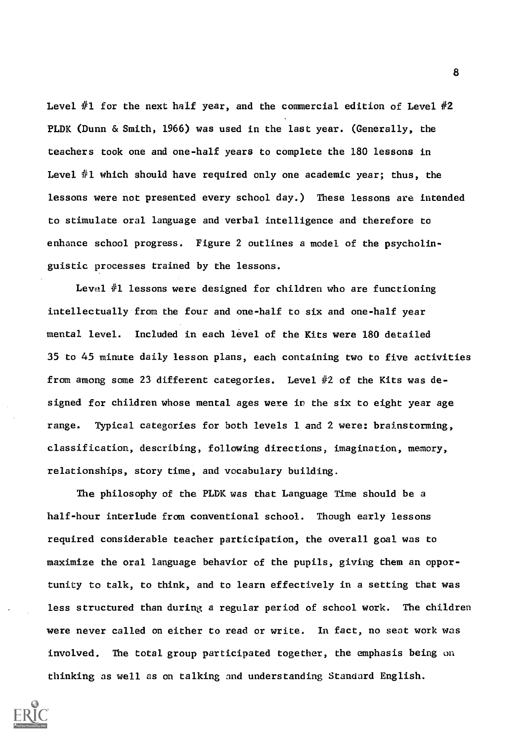Level  $#1$  for the next half year, and the commercial edition of Level  $#2$ PLDK (Dunn & Smith, 1966) was used in the last year. (Generally, the teachers took one and one-half years to complete the 180 lessons in Level  $#1$  which should have required only one academic year; thus, the lessons were not presented every school day.) These lessons are intended to stimulate oral language and verbal intelligence and therefore to enhance school progress. Figure 2 outlines a model of the psycholinguistic processes trained by the lessons.

Level #1 lessons were designed for children who are functioning intellectually from the four and one-half to six and one-half year mental level. Included in each level of the Kits were 180 detailed 35 to 45 minute daily lesson plans, each containing two to five activities from among some 23 different categories. Level #2 of the Kits was designed for children whose mental ages were in the six to eight year age range. Typical categories for both levels 1 and 2 were: brainstorming, classification, describing, following directions, imagination, memory, relationships, story time, and vocabulary building.

The philosophy of the PLDK was that Language Time should be a half-hour interlude from conventional school. Though early lessons required considerable teacher participation, the overall goal was to maximize the oral language behavior of the pupils, giving them an opportunity to talk, to think, and to learn effectively in a setting that was less structured than during a regular period of school work. The children were never called on either to read or write. In fact, no seat work was involved. The total group participated together, the emphasis being on thinking as well as on talking and understanding Standard English.

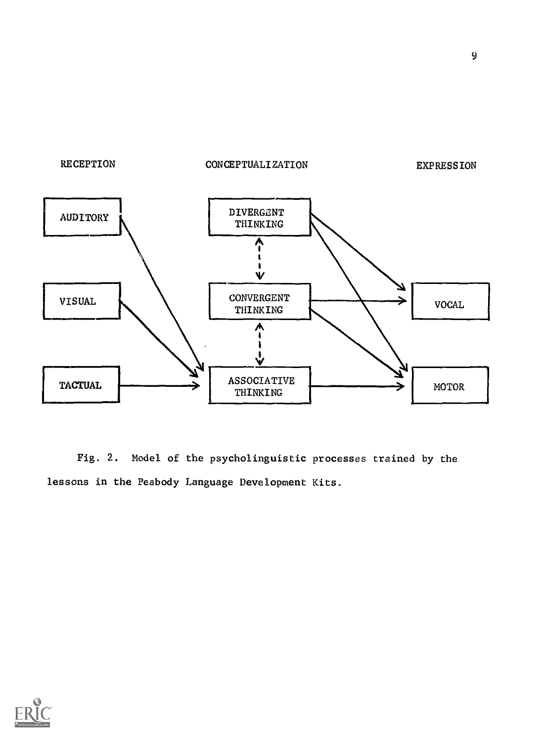

Fig. 2. Model of the psycholinguistic processes trained by the lessons in the Peabody Language Development Kits.

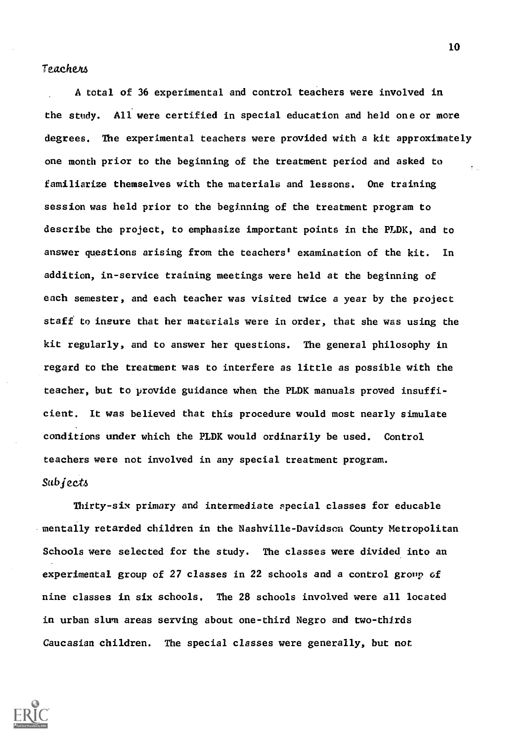### Teachem

A total of 36 experimental and control teachers were involved in the study. All were certified in special education and held one or more degrees. The experimental teachers were provided with a kit approximately one month prior to the beginning of the treatment period and asked to familiarize themselves with the materials and lessons. One training session was held prior to the beginning of the treatment program to describe the project, to emphasize important points in the PLDK, and to answer questions arising from the teachers' examination of the kit. In addition, in-service training meetings were held at the beginning of each semester, and each teacher was visited twice a year by the project staff to insure that her materials were in order, that she was using the kit regularly, and to answer her questions. The general philosophy in regard to the treatment was to interfere as little as possible with the teacher, but to provide guidance when the PLDK manuals proved insufficient. It was believed that this procedure would most nearly simulate conditions under which the PLDK would ordinarily be used. Control teachers were not involved in any special treatment program. Subject4

Thirty-six primary and intermediate special classes for educable mentally retarded children in the Nashville-Davidson County Metropolitan Schools were selected for the study. The classes were divided into an experimental group of 27 classes in 22 schools and a control group of nine classes in six schools. The 28 schools involved were all located in urban slum areas serving about one-third Negro and two-thirds Caucasian children. The special classes were generally, but not

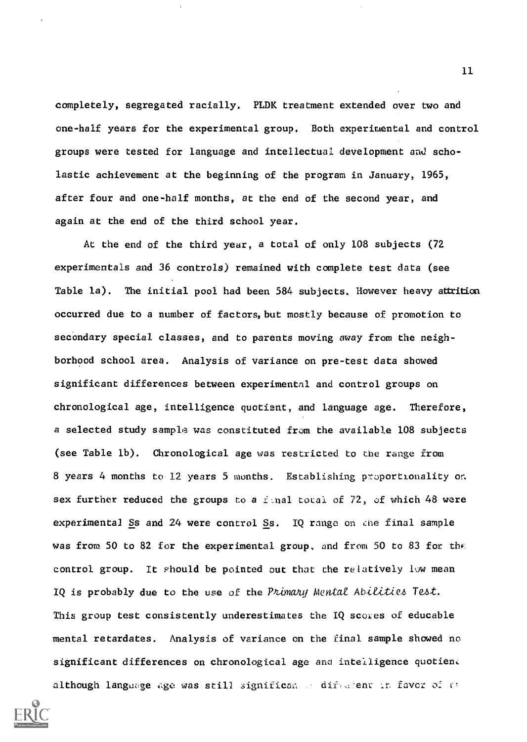completely, segregated racially. PLDK treatment extended over two and one-half years for the experimental group. Both experimental and control groups were tested for language and intellectual development ani scholastic achievement at the beginning of the program in January, 1965, after four and one-half months, at the end of the second year, and again at the end of the third school year.

At the end of the third year, a total of only 108 subjects (72 experimentals and 36 controls) remained with complete test data (see Table la). The initial pool had been 584 subjects. However heavy attrition occurred due to a number of factors, but mostly because of promotion to secondary special classes, and to parents moving away from the neighborhood school area. Analysis of variance on pre-test data showed significant differences between experimental and control groups on chronological age, intelligence quotient, and language age. Therefore, a selected study sample was constituted from the available 108 subjects (see Table lb). Chronological age was restricted to the range from 8 years 4 months to 12 years 5 months. Establishing proportionality on sex further reduced the groups to a final total of 72, of which 48 were experimental Ss and 24 were control Ss. IQ range on the final sample was from 50 to 82 for the experimental group, and from 50 to 83 for the control group. It should be pointed out that the relatively low mean IQ is probably due to the use of the Primary Mental Abilities Test. This group test consistently underestimates the IQ scores of educable mental retardates. Analysis of variance on the final sample showed no significant differences on chronological age and intelligence quotient although language age was still significan a different in favor of at

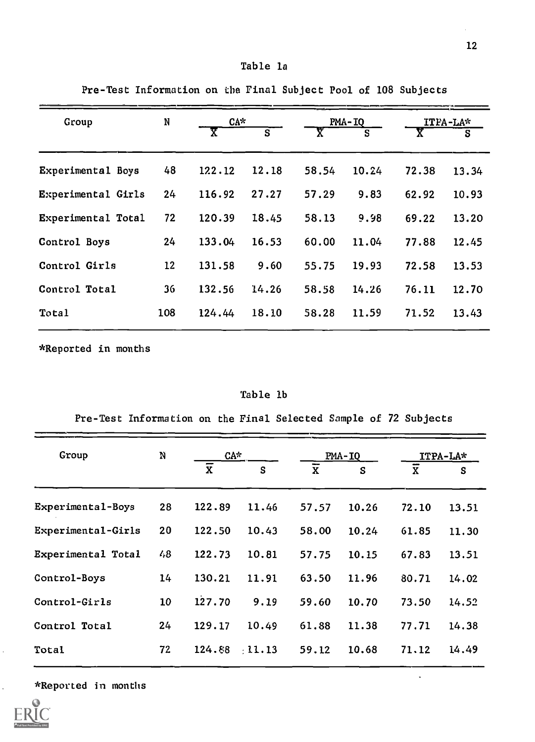Pre-Test Information on the Final Subject Pool of 108 Subjects

| Group              | N   |        | $CA^*$ |       | PMA-IQ |       | $TFA-LA*$ |  |
|--------------------|-----|--------|--------|-------|--------|-------|-----------|--|
|                    |     | x      | S      | χ     | S      | Y     | s         |  |
| Experimental Boys  | 48  | 122.12 | 12.18  | 58.54 | 10.24  | 72.38 | 13.34     |  |
| Experimental Girls | 24  | 116.92 | 27.27  | 57.29 | 9.83   | 62.92 | 10.93     |  |
| Experimental Total | 72  | 120.39 | 18.45  | 58.13 | 9.98   | 69.22 | 13.20     |  |
| Control Boys       | 24  | 133.04 | 16.53  | 60.00 | 11.04  | 77.88 | 12.45     |  |
| Control Girls      | 12  | 131.58 | 9.60   | 55.75 | 19.93  | 72.58 | 13.53     |  |
| Control Total      | 36  | 132.56 | 14.26  | 58.58 | 14.26  | 76.11 | 12.70     |  |
| Total              | 108 | 124.44 | 18.10  | 58.28 | 11.59  | 71.52 | 13.43     |  |
|                    |     |        |        |       |        |       |           |  |

\*Reported in months

Table lb

Pre-Test Information on the Final Selected Sample of 72 Subjects

| Group              | N  |                | $CA*$       |                | $PMA-IQ$ |                    | ITPA-LA* |  |
|--------------------|----|----------------|-------------|----------------|----------|--------------------|----------|--|
|                    |    | $\overline{x}$ | S           | $\overline{x}$ | S        | $\bar{\mathbf{x}}$ | S        |  |
| Experimental-Boys  | 28 | 122.89         | 11.46       | 57.57          | 10.26    | 72.10              | 13.51    |  |
| Experimental-Girls | 20 | 122.50         | 10.43       | 58.00          | 10.24    | 61.85              | 11.30    |  |
| Experimental Total | 48 | 122.73         | 10.81       | 57.75          | 10.15    | 67.83              | 13.51    |  |
| Control-Boys       | 14 | 130.21         | 11.91       | 63.50          | 11.96    | 80.71              | 14.02    |  |
| Control-Girls      | 10 | 127.70         | 9.19        | 59.60          | 10.70    | 73.50              | 14.52    |  |
| Control Total      | 24 | 129.17         | 10.49       | 61.88          | 11.38    | 77.71              | 14.38    |  |
| Total              | 72 | 124.88         | $\pm 11.13$ | 59.12          | 10.68    | 71.12              | 14.49    |  |
|                    |    |                |             |                |          |                    |          |  |

\*Reported in months



 $\ddot{\phantom{a}}$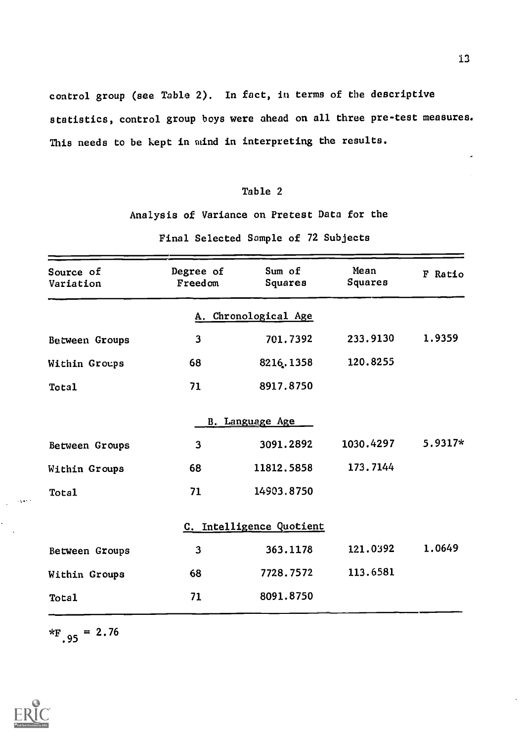control group (see Table 2). In fact, in terms of the descriptive statistics, control group boys were ahead on all three pre-test measures. This needs to be kept in mind in interpreting the results.

### Table 2

Analysis of Variance on Pretest Data for the

Final Selected Sample of 72 Subjects

| Source of<br>Variation | Degree of<br>Freedom    | Sum of<br>Squares        | Mean<br>Squares | F Ratio |
|------------------------|-------------------------|--------------------------|-----------------|---------|
|                        |                         | A. Chronological Age     |                 |         |
| Between Groups         | $\overline{\mathbf{3}}$ | 701.7392                 | 233.9130        | 1.9359  |
| Within Groups          | 68                      | 8216.1358                | 120.8255        |         |
| Total                  | 71                      | 8917.8750                |                 |         |
|                        |                         | B. Language Age          |                 |         |
| Between Groups         | 3                       | 3091.2892                | 1030.4297       | 5.9317* |
| Within Groups          | 68                      | 11812.5858               | 173.7144        |         |
| Total                  | 71                      | 14903.8750               |                 |         |
|                        |                         | C. Intelligence Quotient |                 |         |
| Between Groups         | 3                       | 363.1178                 | 121.0392        | 1.0649  |
| Within Groups          | 68                      | 7728.7572                | 113.6581        |         |
| Total                  | 71                      | 8091.8750                |                 |         |

 $*_{F,95}$  = 2.76

13

J.



فحود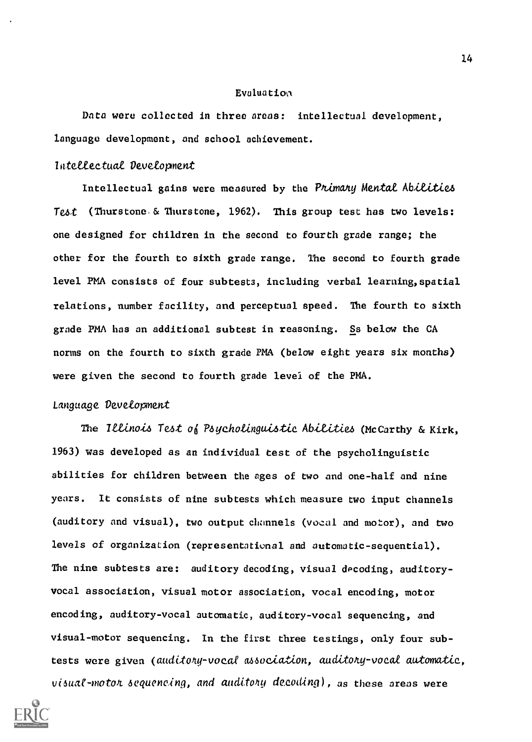#### Evaluation

Data were collected in three areas: intellectual development, language development, and school achievement.

### lateteectuat Devetopment

Intellectual gains were measured by the Primary Mental Abilities Test (Thurstone & Thurstone, 1962). This group test has two levels: one designed for children in the second to fourth grade range; the other for the fourth to sixth grade range. The second to fourth grade level PMA consists of four subtests, including verbal learning,spatial relations, number facility, and perceptual speed. The fourth to sixth grade PMA has an additional subtext in reasoning. Ss below the CA norms on the fourth to sixth grade PMA (below eight years six months) were given the second to fourth grade level of the PMA.

### Language Devetopment

The Illinois Test of Psycholinguistic Abilities (McCarthy & Kirk, 1963) was developed as an individual test of the psycholinguistic abilities for children between the ages of two and one-half and nine years. It consists of nine subtests which measure two input channels (auditory and visual), two output channels (vocal and motor), and two levels of organization (representational and automatic-sequential). The nine subtests are: auditory decoding, visual decoding, auditoryvocal association, visual motor association, vocal encoding, motor encoding, auditory-vocal automatic, auditory-vocal sequencing, and visual-motor sequencing. In the first three testings, only four subtests were given (auditory-vocal association, auditory-vocal automatic,  $visual$ -moton sequencing, and auditory decotting), as these areas were

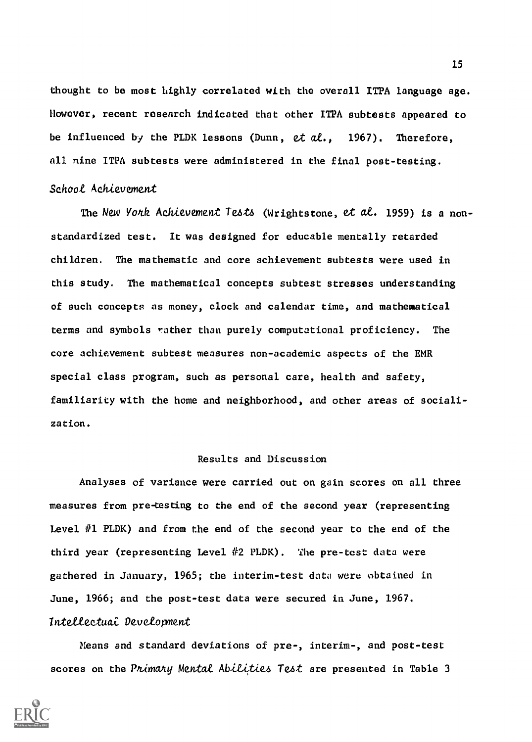thought to be most highly correlated with the overall ITPA language age. However, recent research indicated that other ITPA subtests appeared to be influenced by the PLDK lessons (Dunn,  $et$   $al.$ , 1967). Therefore, all nine ITPA subtests were administered in the final post-testing. Schoot Achievement

The New Yode Achievement Tests (Wrightstone, et at. 1959) is a nonstandardized test. It was designed for educable mentally retarded children. The mathematic and core achievement subtests were used in this study. The mathematical concepts subtest stresses understanding of such concepts as money, clock and calendar time, and mathematical terms and symbols rather than purely computational proficiency. The core achievement subtest measures non-academic aspects of the EMR special class program, such as personal care, health and safety, familiarity with the home and neighborhood, and other areas of socialization.

### Results and Discussion

Analyses of variance were carried out on gain scores on all three measures from pretesting to the end of the second year (representing Level  $#1$  PLDK) and from the end of the second year to the end of the third year (representing Level #2 PLDK). The pre-test data were gathered in January, 1965; the interim-test data were obtained in June, 1966; and the post-test data were secured in June, 1967. Intellectuai Development

Means and standard deviations of pre-, interim-, and post-test scores on the Primary Mental Abilities Test are presented in Table 3

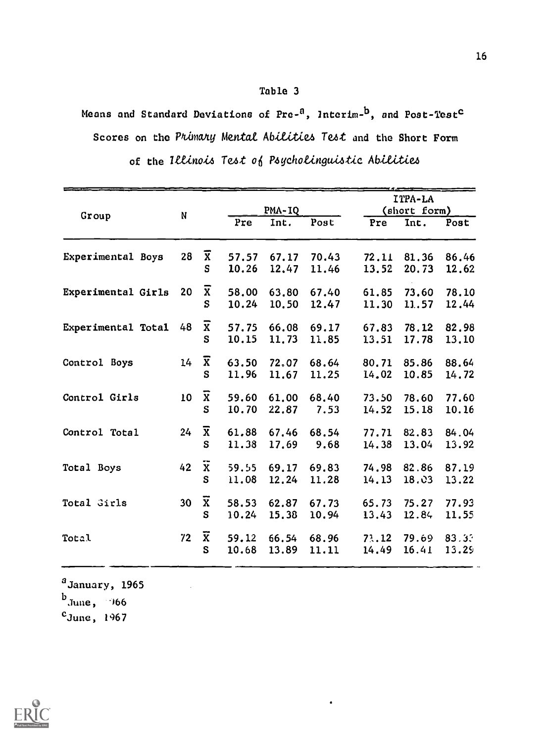Means and Standard Deviations of Pre-<sup>a</sup>, Interim-<sup>b</sup>, and Post-Test<sup>c</sup> Scores on the Primary Mental Abilities Test and the Short Form of the Illinois Test of Psycholinguistic Abilities

|                    |    |                              |                | <b>PMA-IQ</b>  |                |                | ITPA-LA<br>(short form) |                |  |
|--------------------|----|------------------------------|----------------|----------------|----------------|----------------|-------------------------|----------------|--|
| Group              | N  |                              | Pre            | Int.           | Post           | Pre            | Int.                    | Post           |  |
| Experimental Boys  | 28 | $\overline{\mathbf{x}}$<br>S | 57.57<br>10.26 | 67.17<br>12,47 | 70.43<br>11.46 | 72.11<br>13.52 | 81.36<br>20.73          | 86.46<br>12.62 |  |
| Experimental Girls | 20 | $\mathbf{x}$<br>S            | 58.00<br>10.24 | 63.80<br>10.50 | 67.40<br>12.47 | 61.85<br>11.30 | 73.60<br>11.57          | 78.10<br>12.44 |  |
| Experimental Total | 48 | $\overline{\textbf{x}}$<br>S | 57.75<br>10.15 | 66.08<br>11.73 | 69.17<br>11.85 | 67.83<br>13.51 | 78.12<br>17.78          | 82.98<br>13.10 |  |
| Control Boys       | 14 | $\overline{x}$<br>S          | 63.50<br>11.96 | 72,07<br>11.67 | 68.64<br>11.25 | 80.71<br>14.02 | 85.86<br>10.85          | 88.64<br>14.72 |  |
| Control Girls      | 10 | $\overline{\textbf{x}}$<br>S | 59.60<br>10.70 | 61,00<br>22.87 | 68.40<br>7.53  | 73.50<br>14.52 | 78.60<br>15.18          | 77.60<br>10.16 |  |
| Control Total      | 24 | $\overline{\textbf{x}}$<br>S | 61.88<br>11.38 | 67.46<br>17.69 | 68.54<br>9.68  | 77.71<br>14.38 | 82.83<br>13.04          | 84.04<br>13.92 |  |
| Total Boys         | 42 | $\overline{\mathbf{x}}$<br>S | 59.55<br>11.08 | 69.17<br>12.24 | 69.83<br>11.28 | 74.98<br>14.13 | 82.86<br>18,03          | 87.19<br>13.22 |  |
| Total Girls        | 30 | $\overline{\mathbf{x}}$<br>S | 58.53<br>10.24 | 62.87<br>15.38 | 67.73<br>10.94 | 65.73<br>13.43 | 75.27<br>12.84          | 77.93<br>11.55 |  |
| Total              | 72 | $\overline{\textbf{x}}$<br>S | 59.12<br>10.68 | 66.54<br>13.89 | 68.96<br>11.11 | 73.12<br>14.49 | 79.69<br>16.41          | 83.33<br>13.29 |  |

 $a$ January, 1965

 $b$ June, 966

 $c_{\text{June}}$ , 1967

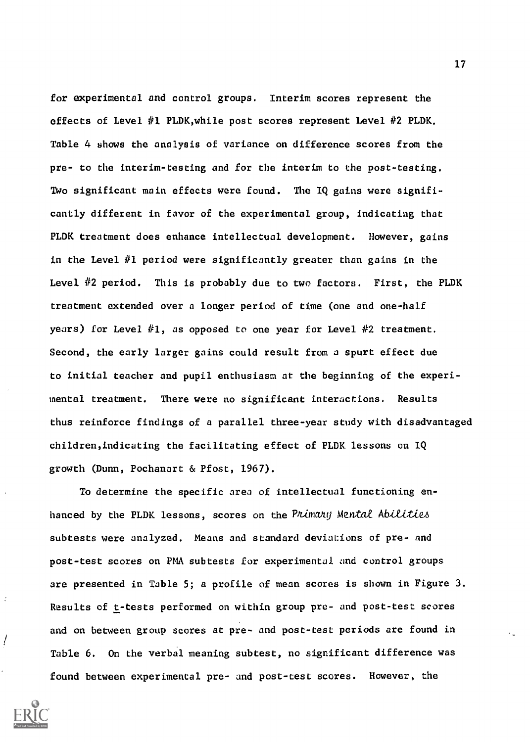for experimental and control groups. Interim scores represent the effects of Level  $#1$  PLDK, while post scores represent Level  $#2$  PLDK. Table 4 shows the analysis of variance on difference scores from the pre- to the interim-testing and for the interim to the post-testing. Two significant main effects were found. The IQ gains were significantly different in favor of the experimental group, indicating that PLDK treatment does enhance intellectual development. However, gains in the Level  $#1$  period were significantly greater than gains in the Level #2 period. This is probably due to two factors. First, the PLDK treatment extended over a longer period of time (one and one-half years) for Level  $#1$ , as opposed to one year for Level  $#2$  treatment. Second, the early larger gains could result from a spurt effect due to initial teacher and pupil enthusiasm at the beginning of the experimental treatment. There were no significant interactions. Results thus reinforce findings of a parallel three-year study with disadvantaged children,indicating the facilitating effect of PLDK lessons on IQ growth (Dunn, Pochanart & Pfost, 1967).

To determine the specific area of intellectual functioning enhanced by the PLDK lessons, scores on the Primany Mental Abilities subtests were analyzed. Means and standard deviations of pre- and post-test scores on PMA subtests for experimental and control groups are presented in Table 5; a profile of mean scores is shown in Figure 3. Results of t-tests performed on within group pre- and post-test scores and on between group scores at pre- and post-test periods are found in Table 6. On the verbal meaning subtest, no significant difference was found between experimental pre- and post-test scores. However, the

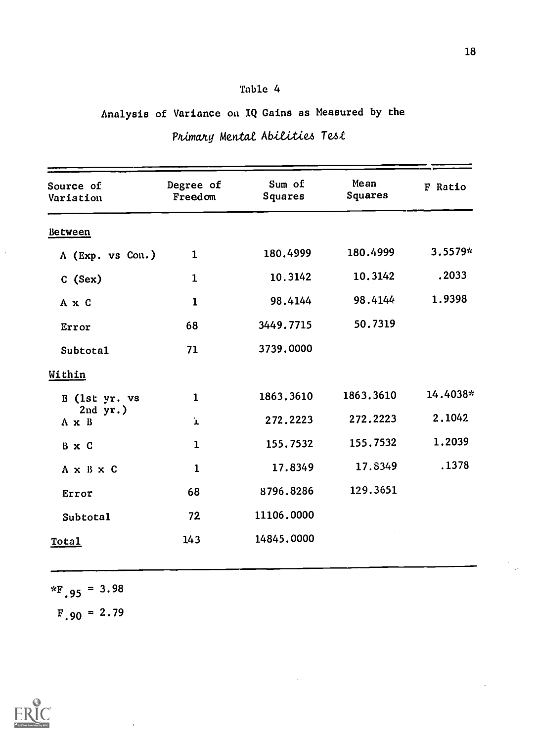# Analysis of Variance on IQ Gains as Measured by the

| Source of<br>Variation      | Degree of<br>Freedom | Sum of<br>Squares | Mean<br>Squares | F Ratio  |
|-----------------------------|----------------------|-------------------|-----------------|----------|
| Between                     |                      |                   |                 |          |
| A (Exp. vs Con.)            | $\mathbf{1}$         | 180.4999          | 180.4999        | 3.5579*  |
| C (Sex)                     | $\mathbf{1}$         | 10.3142           | 10.3142         | .2033    |
| A x C                       | $\mathbf{1}$         | 98.4144           | 98.4144         | 1.9398   |
| Error                       | 68                   | 3449.7715         | 50.7319         |          |
| <b>Subtotal</b>             | 71                   | 3739.0000         |                 |          |
| Within                      |                      |                   |                 |          |
| B (1st yr. vs               | $\mathbf{1}$         | 1863.3610         | 1863.3610       | 14.4038* |
| $2nd yr.$ )<br>$A \times B$ | $\mathbf{r}$         | 272.2223          | 272.2223        | 2.1042   |
| B x C                       | $\mathbf{1}$         | 155.7532          | 155.7532        | 1.2039   |
| A x B x C                   | $\mathbf{1}$         | 17.8349           | 17.8349         | .1378    |
| Error                       | 68                   | 8796.8286         | 129.3651        |          |
| Subtotal                    | 72                   | 11106,0000        |                 |          |
| Total                       | 143                  | 14845.0000        |                 |          |
|                             |                      |                   |                 |          |

# Primary Mental Abilities Test

 $*_{F.95}$  = 3.98  $F.90 = 2.79$ 

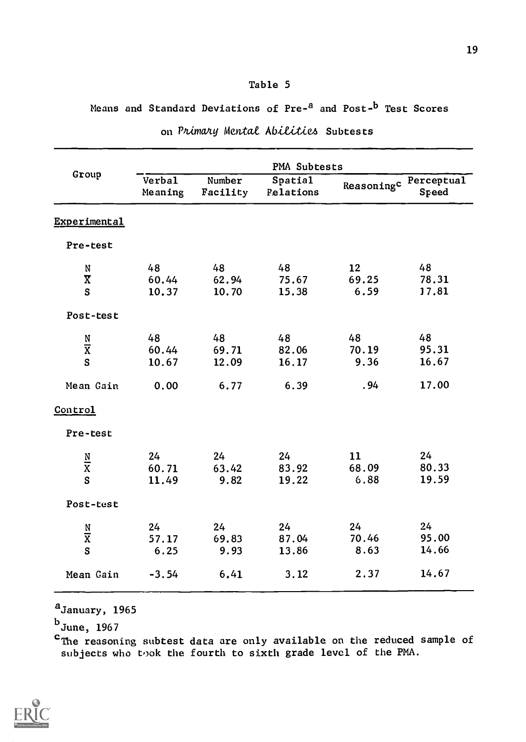# Means and Standard Deviations of Pre-<sup>a</sup> and Post-<sup>b</sup> Test Scores

|                         | <b>PMA Subtests</b> |                    |                      |                       |       |  |  |  |  |
|-------------------------|---------------------|--------------------|----------------------|-----------------------|-------|--|--|--|--|
| Group                   | Verbal<br>Meaning   | Number<br>Facility | Spatial<br>Relations | Reasoningc Perceptual | Speed |  |  |  |  |
| Experimental            |                     |                    |                      |                       |       |  |  |  |  |
| Pre-test                |                     |                    |                      |                       |       |  |  |  |  |
| N                       | 48                  | 48                 | 48                   | 12                    | 48    |  |  |  |  |
| $\overline{\mathbf{X}}$ | 60.44               | 62.94              | 75.67                | 69.25                 | 78.31 |  |  |  |  |
| S                       | 10.37               | 10.70              | 15.38                | 6.59                  | 17.81 |  |  |  |  |
| Post-test               |                     |                    |                      |                       |       |  |  |  |  |
|                         | 48                  | 48                 | 48                   | 48                    | 48    |  |  |  |  |
| $\frac{N}{X}$           | 60.44               | 69.71              | 82.06                | 70.19                 | 95.31 |  |  |  |  |
| S                       | 10.67               | 12.09              | 16.17                | 9.36                  | 16.67 |  |  |  |  |
| Mean Gain               | 0.00                | 6.77               | 6.39                 | .94                   | 17.00 |  |  |  |  |
| Control                 |                     |                    |                      |                       |       |  |  |  |  |
| Pre-test                |                     |                    |                      |                       |       |  |  |  |  |
|                         | 24                  | 24                 | 24                   | 11                    | 24    |  |  |  |  |
| $\frac{N}{X}$           | 60.71               | 63.42              | 83.92                | 68.09                 | 80.33 |  |  |  |  |
| S                       | 11.49               | 9.82               | 19.22                | 6.88                  | 19.59 |  |  |  |  |
| Post-test               |                     |                    |                      |                       |       |  |  |  |  |
|                         | 24                  | 24                 | 24                   | 24                    | 24    |  |  |  |  |
| $\frac{N}{X}$           | 57.17               | 69.83              | 87.04                | 70.46                 | 95.00 |  |  |  |  |
| S                       | 6.25                | 9.93               | 13.86                | 8.63                  | 14.66 |  |  |  |  |
| Mean Gain               | $-3.54$             | 6.41               | 3.12                 | 2.37                  | 14.67 |  |  |  |  |
|                         |                     |                    |                      |                       |       |  |  |  |  |

# on Primary Mental Abilities Subtests

<sup>a</sup>January, 1965

 $^{\rm b}$ June, 1967

 $\mathbf{c}_{\texttt{The reasoning subtest data are only available on the reduced sample of }$ subjects who took the fourth to sixth grade level of the PMA.

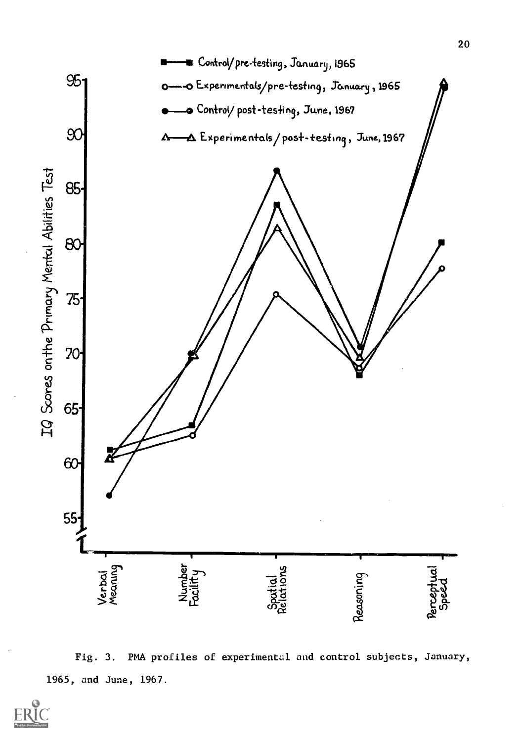

Fig. 3. PMA profiles of experimental and control subjects, January, 1965, and June, 1967.

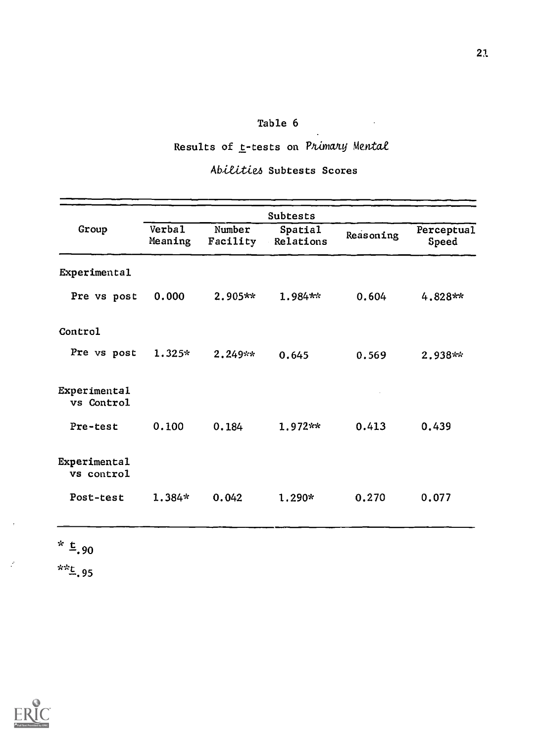# Results of t-tests on Primary Mental

 $\sim$ 

# Abititia Subtests Scores

|                            |                          |                    | Subtests             |           |                     |
|----------------------------|--------------------------|--------------------|----------------------|-----------|---------------------|
| Group                      | <b>Verbal</b><br>Meaning | Number<br>Facility | Spatial<br>Relations | Reasoning | Perceptual<br>Speed |
| Experimental               |                          |                    |                      |           |                     |
| Pre vs post                | 0.000                    | $2.905**$          | 1.984**              | 0.604     | $4.828**$           |
| Control                    |                          |                    |                      |           |                     |
| Pre vs post                | $1.325*$                 | $2.249**$          | 0.645                | 0.569     | $2.938**$           |
| Experimental<br>vs Control |                          |                    |                      |           |                     |
| Pre-test                   | 0.100                    | 0.184              | $1.972**$            | 0.413     | 0.439               |
| Experimental<br>vs control |                          |                    |                      |           |                     |
| Post-test                  | $1.384*$                 | 0.042              | 1.290*               | 0.270     | 0.077               |

\*  $\frac{t}{2}$ , 90

 $*_{-.95}$ 





 $\mathcal{P}$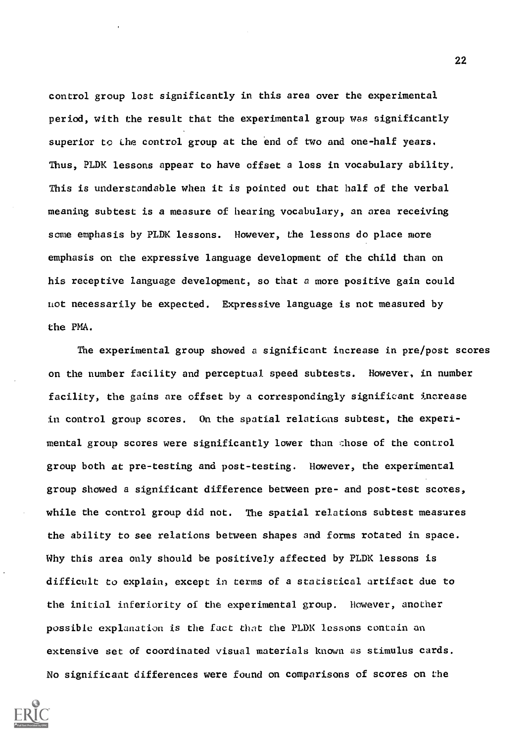control group lost significantly in this area over the experimental period, with the result that the experimental group was significantly superior to the control group at the end of two and one-half years. Thus, PLDK lessons appear to have offset a loss in vocabulary ability. This is understandable when it is pointed out that half of the verbal meaning subtest is a measure of hearing vocabulary, an area receiving some emphasis by PLDK lessons. However, the lessons do place more emphasis on the expressive language development of the child than on his receptive language development, so that a more positive gain could not necessarily be expected. Expressive language is not measured by the PMA.

The experimental group showed a significant increase in pre/post scores on the number facility and perceptual speed subtests. However, in number facility, the gains are offset by a correspondingly significant increase in control group scores. On the spatial relations subtest, the experimental group scores were significantly lower than \_hose of the control group both at pre-testing and post-testing. However, the experimental group showed a significant difference between pre- and post-test scores, while the control group did not. The spatial relations subtest measures the ability to see relations between shapes and forms rotated in space. Why this area only should be positively affected by PLDK lessons is difficult to explain, except in terms of a statistical artifact due to the initial inferiority of the experimental group. However, another possible explanation is the fact that the PLDK lessons contain an extensive set of coordinated visual materials known as stimulus cards. No significant differences were found on comparisons of scores on the

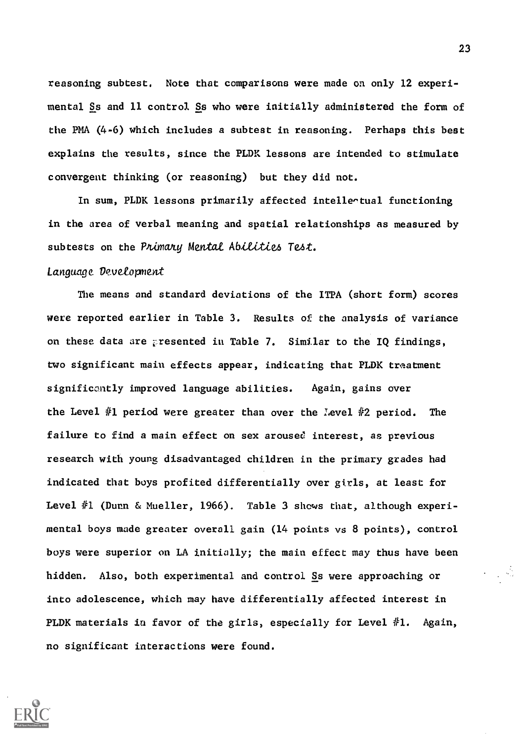reasoning subtest. Note that comparisons were made on only 12 experimental Ss and 11 control Ss who were initially administered the form of the PMA (4-6) which includes a subtest in reasoning. Perhaps this best explains the results, since the PLDK lessons are intended to stimulate convergent thinking (or reasoning) but they did not.

In sum, PLDK lessons primarily affected intelle^tual functioning in the area of verbal meaning and spatial relationships as measured by subtests on the Primary Mental Abilities Test.

#### Language Devetopment

The means and standard deviations of the ITPA (short form) scores were reported earlier in Table 3. Results of the analysis of variance on these data are presented in Table 7. Similar to the IQ findings, two significant main effects appear, indicating that PLDK treatment significantly improved language abilities. Again, gains over the Level #1 period were greater than over the Level #2 period. The failure to find a main effect on sex aroused interest, as previous research with young disadvantaged children in the primary grades had indicated that boys profited differentially over girls, at least for Level  $#1$  (Dunn & Mueller, 1966). Table 3 shows that, although experimental boys made greater overall gain (14 points vs 8 points), control boys were superior on LA initially; the main effect may thus have been hidden. Also, both experimental and control Ss were approaching or into adolescence, which may have differentially affected interest in PLDK materials in favor of the girls, especially for Level  $#1$ . Again, no significant interactions were found.

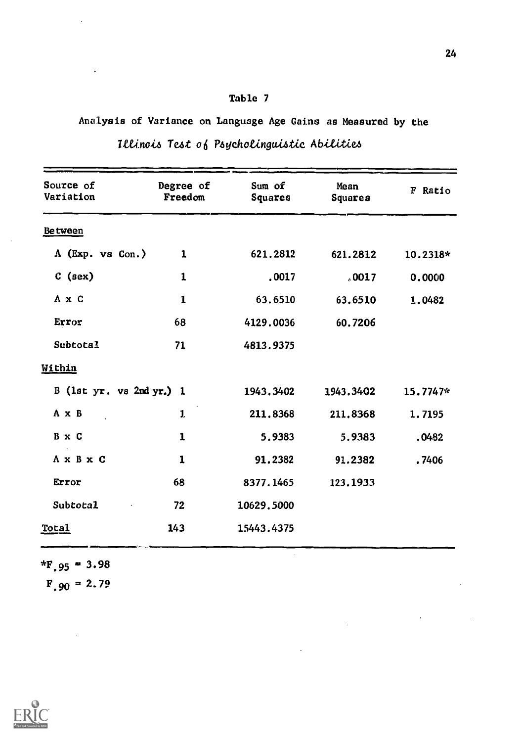# Analysis of Variance on Language Age Gains as Measured by the

| Source of<br>Variation        | Degree of<br>Freedom | Sum of<br>Squares | Mean<br>Squares | F Ratio  |
|-------------------------------|----------------------|-------------------|-----------------|----------|
| <b>Between</b>                |                      |                   |                 |          |
| $\Lambda$ (Exp. vs Con.)      | $\mathbf{1}$         | 621.2812          | 621.2812        | 10.2318* |
| $C$ (sex)                     | 1                    | .0017             | .0017           | 0.0000   |
| A x C                         | $\mathbf{1}$         | 63.6510           | 63.6510         | 1.0482   |
| Error                         | 68                   | 4129.0036         | 60.7206         |          |
| Subtotal                      | 71                   | 4813.9375         |                 |          |
| Within                        |                      |                   |                 |          |
| B (1st $yr.$ vs 2nd $yr.$ ) 1 |                      | 1943.3402         | 1943.3402       | 15.7747* |
| A x B                         | $\mathbf{1}$         | 211.8368          | 211.8368        | 1.7195   |
| B x C                         | 1                    | 5.9383            | 5.9383          | .0482    |
| $A \times B \times C$         | 1                    | 91.2382           | 91,2382         | .7406    |
| Error                         | 68                   | 8377.1465         | 123.1933        |          |
| Subtotal                      | 72                   | 10629,5000        |                 |          |
| Total                         | 143                  | 15443.4375        |                 |          |

l,

 $\mathcal{L}_{\text{max}}$ 

|  | Illinois Test of Psycholinguistic Abilities |  |
|--|---------------------------------------------|--|

 $*F.95 = 3.98$ 

 $\blacksquare$ 

 $F.90 = 2.79$ 

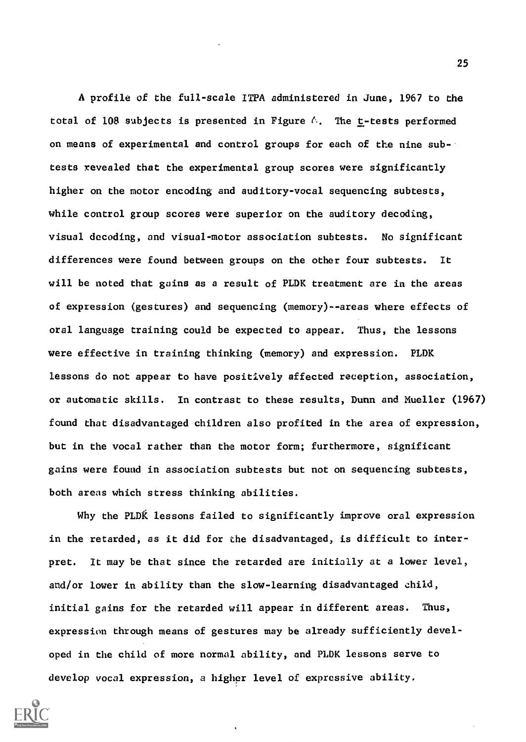A profile of the full-scale ITPA administered in June, 1967 to the total of 108 subjects is presented in Figure  $\land$ . The t-tests performed on means of experimental and control groups for each of the nine subtests revealed that the experimental group scores were significantly higher on the motor encoding and auditory-vocal sequencing subtests, while control group scores were superior on the auditory decoding, visual decoding, and visual-motor association subtests. No significant differences were found between groups on the other four subtests. It will be noted that gains as a result of PLDK treatment are in the areas of expression (gestures) and sequencing (memory)--areas where effects of oral language training could be expected to appear. Thus, the lessons were effective in training thinking (memory) and expression. PLDK lessons do not appear to have positively affected reception, association, or automatic skills. In contrast to these results, Dunn and Mueller (1967) found that disadvantaged children also profited in the area of expression, but in the vocal rather than the motor form; furthermore, significant gains were found in association subtests but not on sequencing subtests, both areas which stress thinking abilities.

Why the PLDK lessons failed to significantly improve oral expression in the retarded, as it did for the disadvantaged, is difficult to interpret. It may be that since the retarded are initially at a lower level, and/or lower in ability than the slow-learning disadvantaged child, initial gains for the retarded will appear in different areas. Thus, expression through means of gestures may be already sufficiently developed in the child of more normal ability, and PLDK lessons serve to develop vocal expression, a higher level of expressive ability.

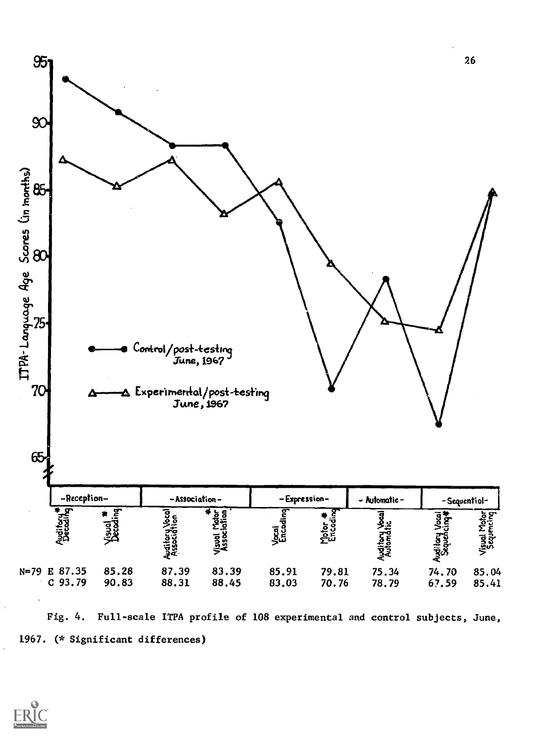

Fig. 4. Full-scale ITPA profile of 108 experimental and control subjects, June, 1967. (\* Significant differences)

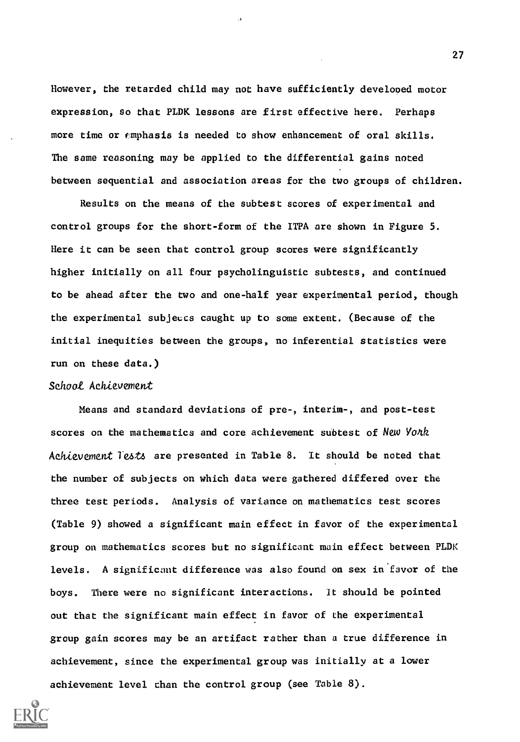However, the retarded child may not have sufficiently developed motor expression, so that PLDK lessons are first effective here. Perhaps more time or fmphasis is needed to show enhancement of oral skills. The same reasoning may be applied to the differential gains noted between sequential and association areas for the two groups of children.

Results on the means of the subtest scores of experimental and control groups for the short-form of the ITPA are shown in Figure 5. Here it can be seen that control group scores were significantly higher initially on all four psycholinguistic subtests, and continued to be ahead after the two and one-half year experimental period, though the experimental subjects caught up to some extent. (Because of the initial inequities between the groups, no inferential statistics were run on these data.)

### Schoot Achievement

Means and standard deviations of pre-, interim-, and post-test scores on the mathematics and core achievement subtest of New York Achievement 1'e4t4 are presented in Table 8. It should be noted that the number of subjects on which data were gathered differed over the three test periods. Analysis of variance on mathematics test scores (Table 9) showed a significant main effect in favor of the experimental group on mathematics scores but no significant main effect between PLDK levels. A significant difference was also found on sex in favor of the boys. There were no significant interactions. It should be pointed out that the significant main effect in favor of the experimental group gain scores may be an artifact rather than a true difference in achievement, since the experimental group was initially at a lower achievement level than the control group (see Table 8).

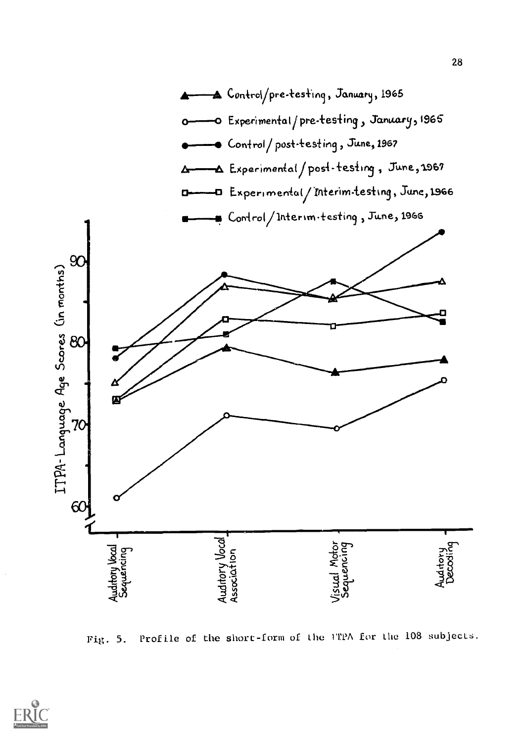

Profile of the short-form of the TTPA for the 108 subjects. Fig. 5.

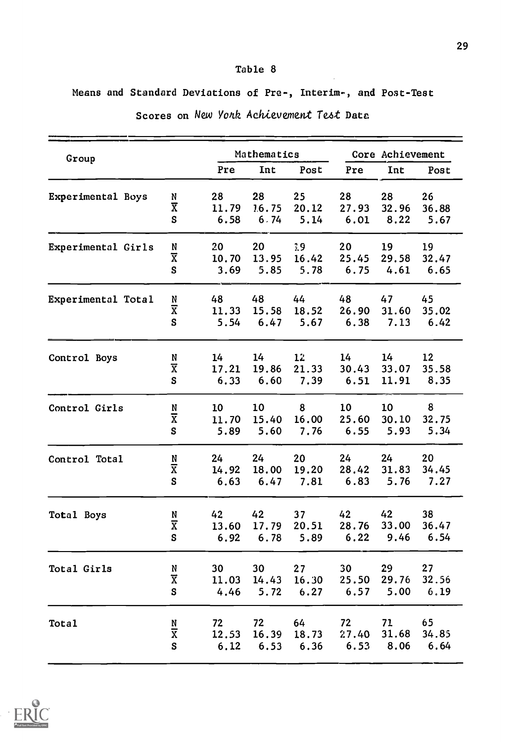Means and Standard Deviations of Pre-, Interim-, and Post-Test

| Group              |                              |       | Mathematics |       |       | Core Achievement |       |  |  |
|--------------------|------------------------------|-------|-------------|-------|-------|------------------|-------|--|--|
|                    |                              | Pre   | Int         | Post  | Pre   | Int              | Post  |  |  |
| Experimental Boys  | N                            | 28    | 28          | 25    | 28    | 28               | 26    |  |  |
|                    | $\overline{\text{X}}$        | 11.79 | 1.6.75      | 20.12 | 27.93 | 32.96            | 36.88 |  |  |
|                    | S                            | 6.58  | 6.74        | 5.14  | 6.01  | 8.22             | 5.67  |  |  |
| Experimental Girls | N                            | 20    | 20          | 19    | 20    | 19               | 19    |  |  |
|                    | $\overline{\text{X}}$        | 10.70 | 13.95       | 16.42 | 25.45 | 29.58            | 32.47 |  |  |
|                    | S                            | 3.69  | 5.85        | 5.78  | 6.75  | 4.61             | 6.65  |  |  |
| Experimental Total | N                            | 48    | 48          | 44    | 48    | 47               | 45    |  |  |
|                    | $\overline{\textbf{x}}$      | 11.33 | 15.58       | 18.52 | 26.90 | 31.60            | 35.02 |  |  |
|                    | S                            | 5.54  | 6.47        | 5.67  | 6.38  | 7.13             | 6.42  |  |  |
| Control Boys       | N                            | 14    | 14          | 12    | 14    | 14               | 12    |  |  |
|                    | $\overline{\text{X}}$        | 17.21 | 19.86       | 21.33 | 30.43 | 33.07            | 35.58 |  |  |
|                    | S                            | 6.33  | 6.60        | 7.39  | 6.51  | 11.91            | 8.35  |  |  |
| Control Girls      |                              | 10    | 10          | 8     | 10    | 10               | 8     |  |  |
|                    | $\frac{N}{X}$                | 11.70 | 15.40       | 16.00 | 25.60 | 30.10            | 32.75 |  |  |
|                    | S                            | 5.89  | 5.60        | 7.76  | 6.55  | 5.93             | 5.34  |  |  |
| Control Total      | ${\tt N}$                    | 24    | 24          | 20    | 24    | 24               | 20    |  |  |
|                    | $\overline{x}$               | 14.92 | 18.00       | 19.20 | 28.42 | 31.83            | 34.45 |  |  |
|                    | S                            | 6.63  | 6.47        | 7.81  | 6.83  | 5.76             | 7.27  |  |  |
| Total Boys         | N                            | 42    | 42          | 37    | 42    | 42               | 38    |  |  |
|                    | $\overline{\text{x}}$        | 13.60 | 17.79       | 20.51 | 28.76 | 33.00            | 36.47 |  |  |
|                    | S                            | 6.92  | 6.78        | 5.89  | 6.22  | 9.46             | 6.54  |  |  |
| Total Girls        | ${\bf N}$                    | 30    | 30          | 27    | 30    | 29               | 27    |  |  |
|                    | $\overline{\text{X}}$        | 11.03 | 14.43       | 16.30 | 25.50 | 29.76            | 32.56 |  |  |
|                    | S                            | 4.46  | 5.72        | 6.27  | 6.57  | 5.00             | 6.19  |  |  |
|                    |                              | 72    | 72          | 64    | 72    | 71               | 65    |  |  |
| Total              |                              |       |             |       |       |                  |       |  |  |
|                    | N<br>$\overline{\textbf{x}}$ | 12.53 | 16.39       | 18.73 | 27.40 | 31.68            | 34.85 |  |  |

Scores on New York Achievement Test Data

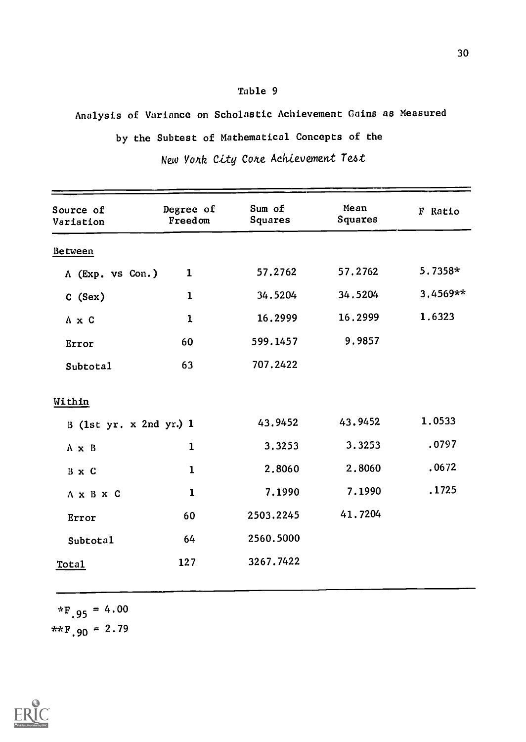# Analysis of Variance on Scholastic Achievement Gains as Measured

```
by the Subtest of Mathematical Concepts of the
```

| Source of<br>Variation  | Degree of<br>Freedom | Sum of<br>Squares | Mean<br>Squares | F Ratio  |
|-------------------------|----------------------|-------------------|-----------------|----------|
| Between                 |                      |                   |                 |          |
| A (Exp. vs Con.)        | 1                    | 57.2762           | 57.2762         | 5.7358*  |
| C (Sex)                 | $\mathbf{1}$         | 34.5204           | 34.5204         | 3.4569** |
| A x C                   | $\mathbf 1$          | 16.2999           | 16.2999         | 1.6323   |
| Error                   | 60                   | 599.1457          | 9.9857          |          |
| Subtotal                | 63                   | 707.2422          |                 |          |
| Within                  |                      |                   |                 |          |
| B (1st yr. x 2nd yr.) 1 |                      | 43.9452           | 43.9452         | 1.0533   |
| $A \times B$            | $\mathbf{1}$         | 3.3253            | 3.3253          | .0797    |
| B x C                   | $\mathbf 1$          | 2,8060            | 2.8060          | .0672    |
| $A \times B \times C$   | $\mathbf{1}$         | 7.1990            | 7.1990          | .1725    |
| Error                   | 60                   | 2503.2245         | 41.7204         |          |
| Subtotal                | 64                   | 2560.5000         |                 |          |
| Total                   | 127                  | 3267.7422         |                 |          |
|                         |                      |                   |                 |          |

New York City Core Achievement Test

 $*F_{.95} = 4.00$ \*\* $F.90 = 2.79$ 



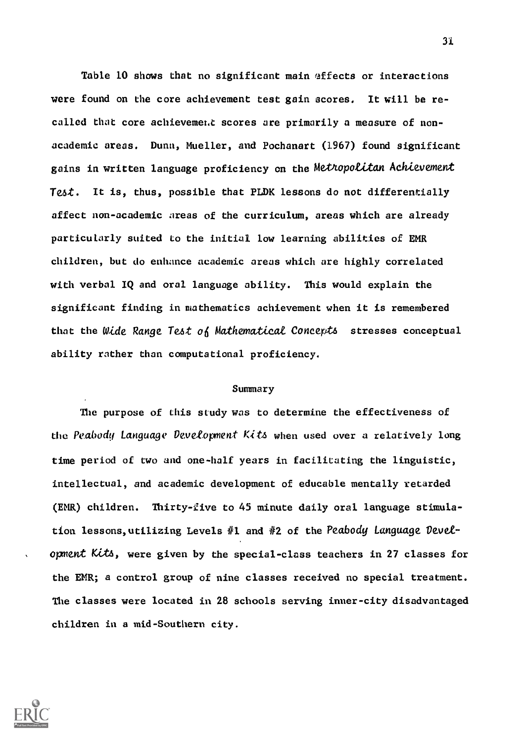Table 10 shows that no significant main effects or interactions were found on the core achievement test gain scores. It will be recalled that core achievement scores are primarily a measure of nonacademic areas. Dunn, Mueller, and Pochanart (1967) found significant gains in written language proficiency on the Metropolitan Achievement Test. It is, thus, possible that PLDK lessons do not differentially affect non-academic areas of the curriculum, areas which are already particularly suited to the initial low learning abilities of EMR children, but do enhance academic areas which are highly correlated with verbal IQ and oral language ability. This would explain the significant finding in mathematics achievement when it is remembered that the Wide Range Test of Mathematical Concepts stresses conceptual ability rather than computational proficiency.

### Summary

The purpose of this study was to determine the effectiveness of the Peabody Language Development Kits when used over a relatively long time period of two and one-half years in facilitating the linguistic, intellectual, and academic development of educable mentally retarded (EMR) children. Thirty-five to 45 minute daily oral language stimulation lessons, utilizing Levels #1 and #2 of the Peabody Language Devetopment Kitts, were given by the special-class teachers in 27 classes for the EMR; a control group of nine classes received no special treatment. The classes were located in 28 schools serving inner-city disadvantaged children in a mid-Southern city.



3i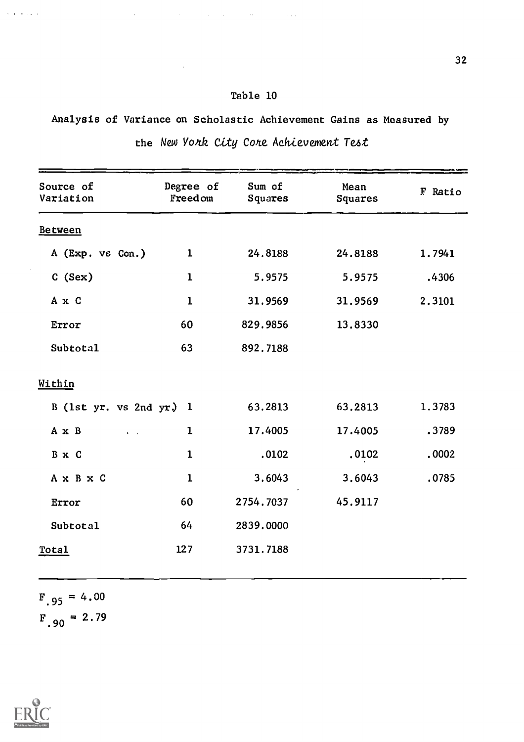$\mathcal{A}^{\mathcal{A}}$  and  $\mathcal{A}^{\mathcal{A}}$  are the set of the set of the set of the set of the set of  $\mathcal{A}$ 

Analysis of Variance on Scholastic Achievement Gains as Measured by the New York City Core Achievement Test

| Source of<br>Variation    | Degree of<br>Freedom | Sum of<br>Squares | Mean<br>Squares | F Ratio |
|---------------------------|----------------------|-------------------|-----------------|---------|
| Between                   |                      |                   |                 |         |
| A (Exp. vs Con.)          | $\mathbf 1$          | 24.8188           | 24.8188         | 1.7941  |
| C(Sex)                    | $\mathbf{1}$         | 5.9575            | 5.9575          | .4306   |
| A x C                     | $\mathbf 1$          | 31.9569           | 31.9569         | 2.3101  |
| Error                     | 60                   | 829.9856          | 13.8330         |         |
| Subtotal                  | 63                   | 892.7188          |                 |         |
| Within                    |                      |                   |                 |         |
| B (1st yr. vs 2nd yr.) 1  |                      | 63.2813           | 63,2813         | 1.3783  |
| A x B<br>$\ddot{\bullet}$ | 1                    | 17.4005           | 17.4005         | .3789   |
| B x C                     | $\mathbf 1$          | .0102             | .0102           | .0002   |
| A x B x C                 | $\mathbf 1$          | 3.6043            | 3.6043          | .0785   |
| Error                     | 60                   | 2754.7037         | 45.9117         |         |
| <b>Subtotal</b>           | 64                   | 2839.0000         |                 |         |
| Total                     | 127                  | 3731.7188         |                 |         |
|                           |                      |                   |                 |         |

 $F_{.95}$  = 4.00  $F_{.90} = 2.79$ 





 $\alpha$  , and  $\alpha$  , and  $\alpha$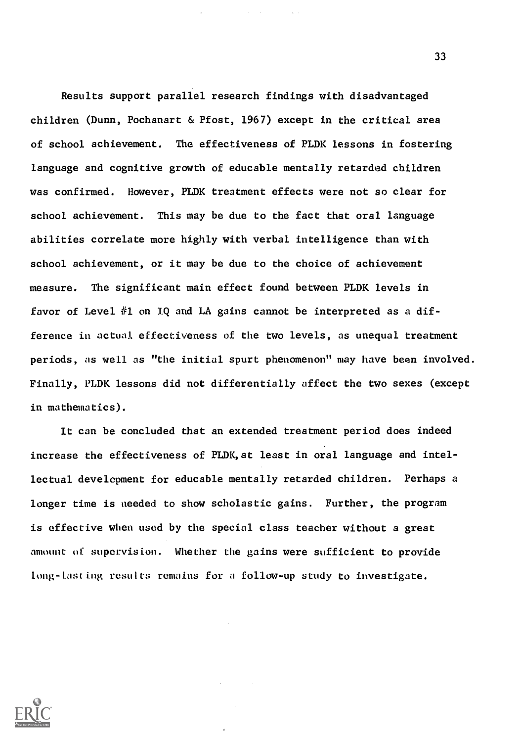Results support parallel research findings with disadvantaged children (Dunn, Pochanart & Pfost, 1967) except in the critical area of school achievement. The effectiveness of PLDK lessons in fostering language and cognitive growth of educable mentally retarded children was confirmed. However, PLDK treatment effects were not so clear for school achievement. This may be due to the fact that oral language abilities correlate more highly with verbal intelligence than with school achievement, or it may be due to the choice of achievement measure. The significant main effect found between PLDK levels in favor of Level  $#1$  on IQ and LA gains cannot be interpreted as a difference in actual effectiveness of the two levels, as unequal treatment periods, as well as "the initial spurt phenomenon" may have been involved. Finally, PLDK lessons did not differentially affect the two sexes (except in mathematics).

It can be concluded that an extended treatment period does indeed increase the effectiveness of PLDK,at least in oral language and intellectual development for educable mentally retarded children. Perhaps a longer time is needed to show scholastic gains. Further, the program is effective when used by the special class teacher without a great amount of supervision. Whether the gains were sufficient to provide long-lasting results remains for a follow-up study to investigate.

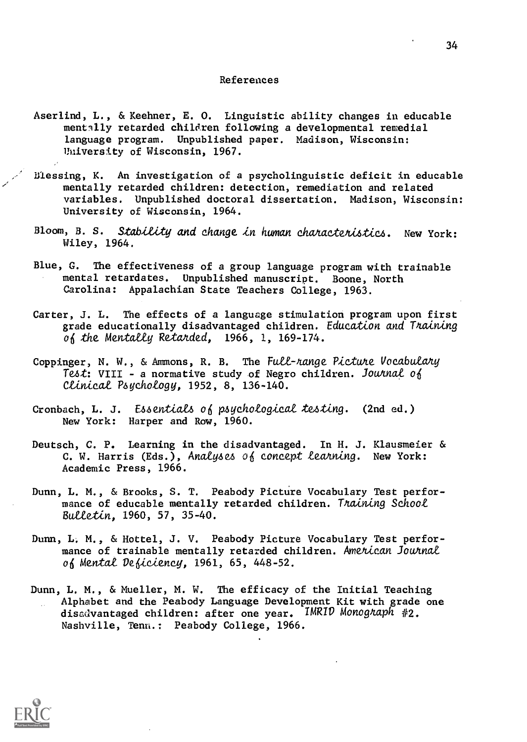#### References

- Aserlind, L., & Keehner, E. 0. Linguistic ability changes in educable mentally retarded children following a developmental remedial language program. Unpublished paper. Madison, Wisconsin: University of Wisconsin, 1967.
- Blessing, K. An investigation of a psycholinguistic deficit in educable mentally retarded children: detection, remediation and related variables. Unpublished doctoral dissertation. Madison, Wisconsin: University of Wisconsin, 1964.
- Bloom, B. S. Stability and change in human characteristics. New York: Wiley, 1964.
- Blue, G. The effectiveness of a group language program with trainable mental retardates. Unpublished manuscript. Boone, North Carolina: Appalachian State Teachers College, 1963.
- Carter, J. L. The effects of a language stimulation program upon first grade educationally disadvantaged children. Education and Training of the Mentally Retarded,  $1966, 1, 169-174$ .
- Coppinger, N. W., & Ammons, R. B. The Full-range Picture Vocabulary Test: VIII - a normative study of Negro children. Journal of Ctinicat Poychotogy, 1952, 8, 136-140.
- Cronbach, L. J. Essentials of psychological testing. (2nd ed.) New York: Harper and Row, 1960.
- Deutsch, C. P. Learning in the disadvantaged. In H. J. Klausmeier & C. W. Harris (Eds.), Analyses of concept learning. New York: Academic Press, 1966.
- Dunn, L. M., & Brooks, S. T. Peabody Picture Vocabulary Test performance of educable mentally retarded children. Thaining School  $Bulletin, 1960, 57, 35-40.$
- Dunn, L. M., & Hottel, J. V. Peabody Picture Vocabulary Test performance of trainable mentally retarded children. American Journal of Mental Deficiency, 1961, 65, 448-52.
- Dunn, L. M., & Mueller, M. W. The efficacy of the Initial Teaching Alphabet and the Peabody Language Development Kit with grade one disadvantaged children: after one year. IMRID Monoghaph #2. Nashville, Tenn.: Peabody College, 1966.

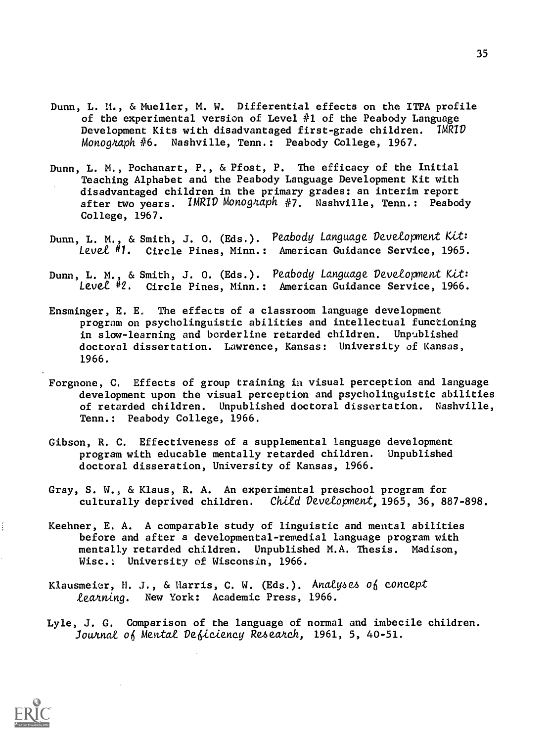- Dunn, L. M., & Mueller, M. W. Differential effects on the ITPA profile of the experimental version of Level #1 of the Peabody Language Development Kits with disadvantaged first-grade children. IMRID Monograph #6. Nashville, Tenn.: Peabody College, 1967.
- Dunn, L. M., Pochanart, P., & Pfost, P. The efficacy of the Initial Teaching Alphabet and the Peabody Language Development Kit with disadvantaged children in the primary grades: an interim report after two years. IMRID Monograph #7. Nashville, Tenn.: Peabody College, 1967.
- Dunn, L. M., & Smith, J. O. (Eds.). Peabody Language Development Kit: Level #1. Circle Pines, Minn.: American Guidance Service, 1965.
- Dunn, L. M., & Smith, J. O. (Eds.). Peabody Language Development Kit: Levet #2. Circle Pines, Minn.: American Guidance Service, 1966.
- Ensminger, E. E, The effects of a classroom language development program on psycholinguistic abilities and intellectual functioning in slow-learning and borderline retarded children. Unpublished doctoral dissertation. Lawrence, Kansas: University of Kansas, 1966.
- Forgnone, C. Effects of group training in visual perception and language development upon the visual perception and psycholinguistic abilities of retarded children. Unpublished doctoral dissertation. Nashville, Tenn.: Peabody College, 1966.
- Gibson, R. C. Effectiveness of a supplemental language development program with educable mentally retarded children. Unpublished doctoral disseration, University of Kansas, 1966.
- Gray, S. W., & Klaus, R. A. An experimental preschool program for culturally deprived children. Child Development, 1965, 36, 887-898.
- Keehner, E. A. A comparable study of linguistic and mental abilities before and after a developmental-remedial language program with mentally retarded children. Unpublished M.A. Thesis. Madison, Wisc.: University of Wisconsin, 1966.
- Klausmeier, H. J., & Harris, C. W. (Eds.). Analyses of concept Learning. New York: Academic Press, 1966.
- Lyle, J. G. Comparison of the language of normal and imbecile children. Journal of Mental Deficiency Research, 1961, 5, 40-51.



 $\vdots$